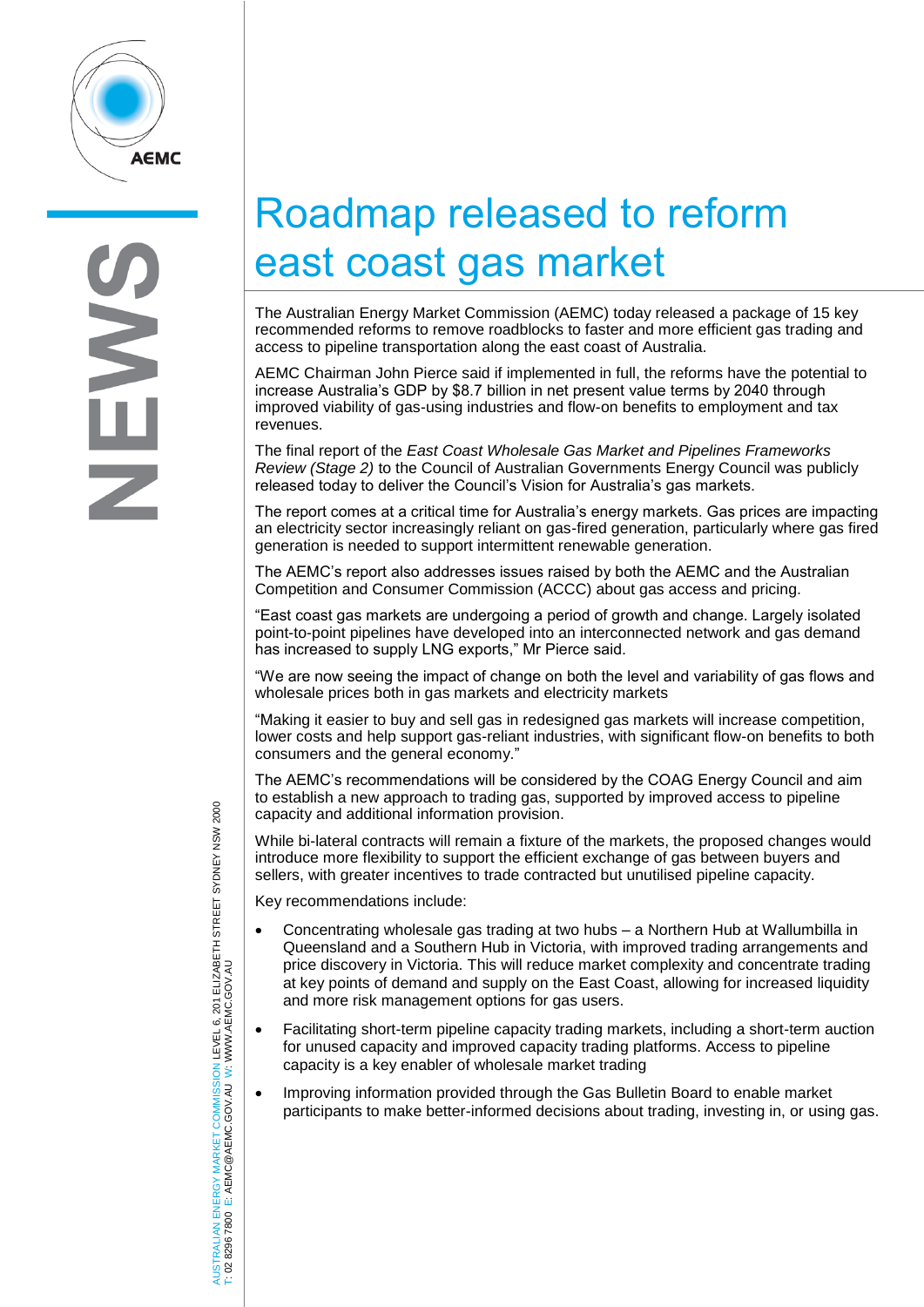

## Roadmap released to reform east coast gas market

The Australian Energy Market Commission (AEMC) today released a package of 15 key recommended reforms to remove roadblocks to faster and more efficient gas trading and access to pipeline transportation along the east coast of Australia.

AEMC Chairman John Pierce said if implemented in full, the reforms have the potential to increase Australia's GDP by \$8.7 billion in net present value terms by 2040 through increase Australia's GDP-by \$6.7 billion in het present value terms by 2040 through<br>improved viability of gas-using industries and flow-on benefits to employment and tax<br>revenues. revenues.

The final report of the *East Coast Wholesale Gas Market and Pipelines Frameworks Review (Stage 2)* to the Council of Australian Governments Energy Council was publicly released today to deliver the Council's Vision for Australia's gas markets.

The report comes at a critical time for Australia's energy markets. Gas prices are impacting an electricity sector increasingly reliant on gas-fired generation, particularly where gas fired generation is needed to support intermittent renewable generation.

The AEMC's report also addresses issues raised by both the AEMC and the Australian Competition and Consumer Commission (ACCC) about gas access and pricing.

"East coast gas markets are undergoing a period of growth and change. Largely isolated point-to-point pipelines have developed into an interconnected network and gas demand has increased to supply LNG exports," Mr Pierce said.

"We are now seeing the impact of change on both the level and variability of gas flows and wholesale prices both in gas markets and electricity markets

"Making it easier to buy and sell gas in redesigned gas markets will increase competition, lower costs and help support gas-reliant industries, with significant flow-on benefits to both consumers and the general economy."

The AEMC's recommendations will be considered by the COAG Energy Council and aim to establish a new approach to trading gas, supported by improved access to pipeline capacity and additional information provision.

While bi-lateral contracts will remain a fixture of the markets, the proposed changes would introduce more flexibility to support the efficient exchange of gas between buyers and sellers, with greater incentives to trade contracted but unutilised pipeline capacity.

Key recommendations include:

- Concentrating wholesale gas trading at two hubs a Northern Hub at Wallumbilla in Queensland and a Southern Hub in Victoria, with improved trading arrangements and price discovery in Victoria. This will reduce market complexity and concentrate trading at key points of demand and supply on the East Coast, allowing for increased liquidity and more risk management options for gas users.
- Facilitating short-term pipeline capacity trading markets, including a short-term auction for unused capacity and improved capacity trading platforms. Access to pipeline capacity is a key enabler of wholesale market trading
- Improving information provided through the Gas Bulletin Board to enable market participants to make better-informed decisions about trading, investing in, or using gas.

AUSTRALIAN ENERGY MARKET COMMISSION LEVEL 6, 201 ELIZABETH STREET SYDNEY NSW 2000 AUSTRALIAN ENERGY MARKET COMMISSION LEVEL 6, 201 ELIZABETH STREET SYDNEY NSW 2000<br>T: 02 8296 7800 E: AEMC@AEMC.GOV.AU W: WWW.AEMC.GOV.AU W: WWW.AEMC.GOV.AU T: 02 8296 7800 E: AEMC@AEMC.GOV.AU